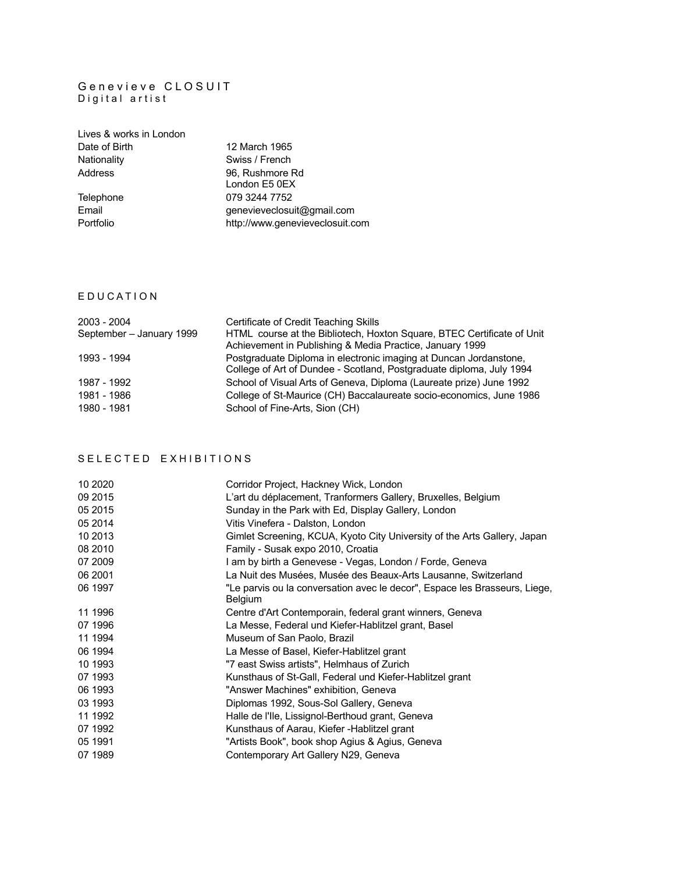#### G e n e v i e v e C L O S U I T Digital artist

| Lives & works in London |                                  |
|-------------------------|----------------------------------|
| Date of Birth           | 12 March 1965                    |
| Nationality             | Swiss / French                   |
| Address                 | 96, Rushmore Rd<br>London E5 0EX |
| Telephone               | 079 3244 7752                    |
| Email                   | genevieveclosuit@gmail.com       |
| Portfolio               | http://www.genevieveclosuit.com  |

### E D U C A T I O N

| 2003 - 2004              | Certificate of Credit Teaching Skills                                  |
|--------------------------|------------------------------------------------------------------------|
| September - January 1999 | HTML course at the Bibliotech, Hoxton Square, BTEC Certificate of Unit |
|                          | Achievement in Publishing & Media Practice, January 1999               |
| 1993 - 1994              | Postgraduate Diploma in electronic imaging at Duncan Jordanstone,      |
|                          | College of Art of Dundee - Scotland, Postgraduate diploma, July 1994   |
| 1987 - 1992              | School of Visual Arts of Geneva, Diploma (Laureate prize) June 1992    |
| 1981 - 1986              | College of St-Maurice (CH) Baccalaureate socio-economics, June 1986    |
| 1980 - 1981              | School of Fine-Arts, Sion (CH)                                         |

## S E L E C T E D E X H I B I T I O N S

| 10 20 20 | Corridor Project, Hackney Wick, London                                     |
|----------|----------------------------------------------------------------------------|
| 09 2015  | L'art du déplacement, Tranformers Gallery, Bruxelles, Belgium              |
| 05 2015  | Sunday in the Park with Ed, Display Gallery, London                        |
| 05 2014  | Vitis Vinefera - Dalston, London                                           |
| 10 2013  | Gimlet Screening, KCUA, Kyoto City University of the Arts Gallery, Japan   |
| 08 2010  | Family - Susak expo 2010, Croatia                                          |
| 07 2009  | I am by birth a Genevese - Vegas, London / Forde, Geneva                   |
| 06 2001  | La Nuit des Musées, Musée des Beaux-Arts Lausanne, Switzerland             |
| 06 1997  | "Le parvis ou la conversation avec le decor", Espace les Brasseurs, Liege, |
|          | <b>Belgium</b>                                                             |
| 11 1996  | Centre d'Art Contemporain, federal grant winners, Geneva                   |
| 07 1996  | La Messe, Federal und Kiefer-Hablitzel grant, Basel                        |
| 11 1994  | Museum of San Paolo, Brazil                                                |
| 06 1994  | La Messe of Basel, Kiefer-Hablitzel grant                                  |
| 10 1993  | "7 east Swiss artists", Helmhaus of Zurich                                 |
| 07 1993  | Kunsthaus of St-Gall, Federal und Kiefer-Hablitzel grant                   |
| 06 1993  | "Answer Machines" exhibition, Geneva                                       |
| 03 1993  | Diplomas 1992, Sous-Sol Gallery, Geneva                                    |
| 11 1992  | Halle de l'Ile, Lissignol-Berthoud grant, Geneva                           |
| 07 1992  | Kunsthaus of Aarau, Kiefer - Hablitzel grant                               |
| 05 1991  | "Artists Book", book shop Agius & Agius, Geneva                            |
| 07 1989  | Contemporary Art Gallery N29, Geneva                                       |